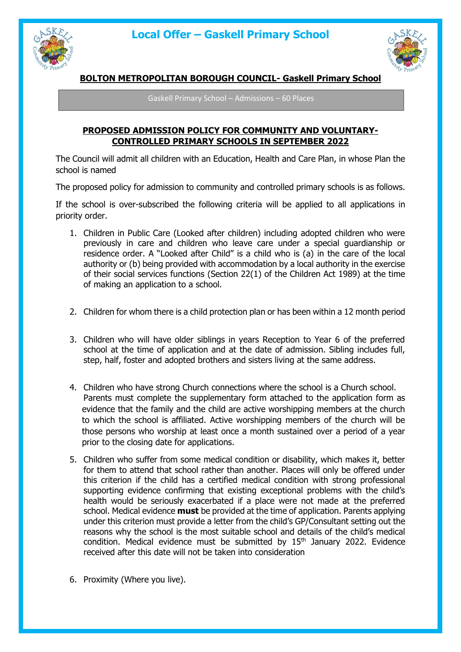



## **BOLTON METROPOLITAN BOROUGH COUNCIL- Gaskell Primary School**

Gaskell Primary School – Admissions – 60 Places

### **PROPOSED ADMISSION POLICY FOR COMMUNITY AND VOLUNTARY-CONTROLLED PRIMARY SCHOOLS IN SEPTEMBER 2022**

The Council will admit all children with an Education, Health and Care Plan, in whose Plan the school is named

The proposed policy for admission to community and controlled primary schools is as follows.

If the school is over-subscribed the following criteria will be applied to all applications in priority order.

- 1. Children in Public Care (Looked after children) including adopted children who were previously in care and children who leave care under a special guardianship or residence order. A "Looked after Child" is a child who is (a) in the care of the local authority or (b) being provided with accommodation by a local authority in the exercise of their social services functions (Section 22(1) of the Children Act 1989) at the time of making an application to a school.
- 2. Children for whom there is a child protection plan or has been within a 12 month period
- 3. Children who will have older siblings in years Reception to Year 6 of the preferred school at the time of application and at the date of admission. Sibling includes full, step, half, foster and adopted brothers and sisters living at the same address.
- 4. Children who have strong Church connections where the school is a Church school. Parents must complete the supplementary form attached to the application form as evidence that the family and the child are active worshipping members at the church to which the school is affiliated. Active worshipping members of the church will be those persons who worship at least once a month sustained over a period of a year prior to the closing date for applications.
- 5. Children who suffer from some medical condition or disability, which makes it, better for them to attend that school rather than another. Places will only be offered under this criterion if the child has a certified medical condition with strong professional supporting evidence confirming that existing exceptional problems with the child's health would be seriously exacerbated if a place were not made at the preferred school. Medical evidence **must** be provided at the time of application. Parents applying under this criterion must provide a letter from the child's GP/Consultant setting out the reasons why the school is the most suitable school and details of the child's medical condition. Medical evidence must be submitted by 15<sup>th</sup> January 2022. Evidence received after this date will not be taken into consideration
- 6. Proximity (Where you live).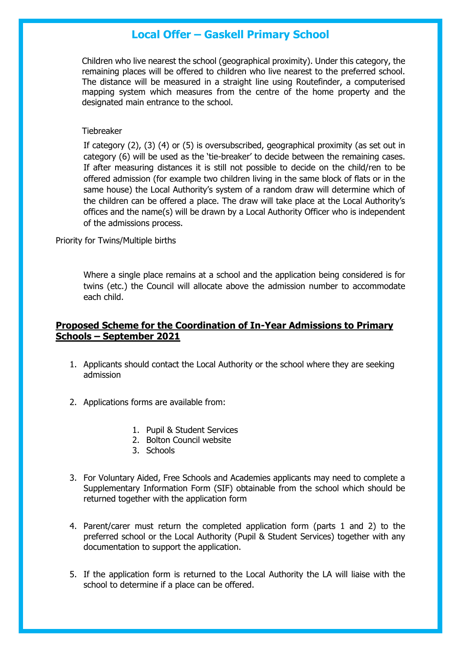Children who live nearest the school (geographical proximity). Under this category, the remaining places will be offered to children who live nearest to the preferred school. The distance will be measured in a straight line using Routefinder, a computerised mapping system which measures from the centre of the home property and the designated main entrance to the school.

#### **Tiebreaker**

If category (2), (3) (4) or (5) is oversubscribed, geographical proximity (as set out in category (6) will be used as the 'tie-breaker' to decide between the remaining cases. If after measuring distances it is still not possible to decide on the child/ren to be offered admission (for example two children living in the same block of flats or in the same house) the Local Authority's system of a random draw will determine which of the children can be offered a place. The draw will take place at the Local Authority's offices and the name(s) will be drawn by a Local Authority Officer who is independent of the admissions process.

Priority for Twins/Multiple births

Where a single place remains at a school and the application being considered is for twins (etc.) the Council will allocate above the admission number to accommodate each child.

### **Proposed Scheme for the Coordination of In-Year Admissions to Primary Schools – September 2021**

- 1. Applicants should contact the Local Authority or the school where they are seeking admission
- 2. Applications forms are available from:
	- 1. Pupil & Student Services
	- 2. Bolton Council website
	- 3. Schools
- 3. For Voluntary Aided, Free Schools and Academies applicants may need to complete a Supplementary Information Form (SIF) obtainable from the school which should be returned together with the application form
- 4. Parent/carer must return the completed application form (parts 1 and 2) to the preferred school or the Local Authority (Pupil & Student Services) together with any documentation to support the application.
- 5. If the application form is returned to the Local Authority the LA will liaise with the school to determine if a place can be offered.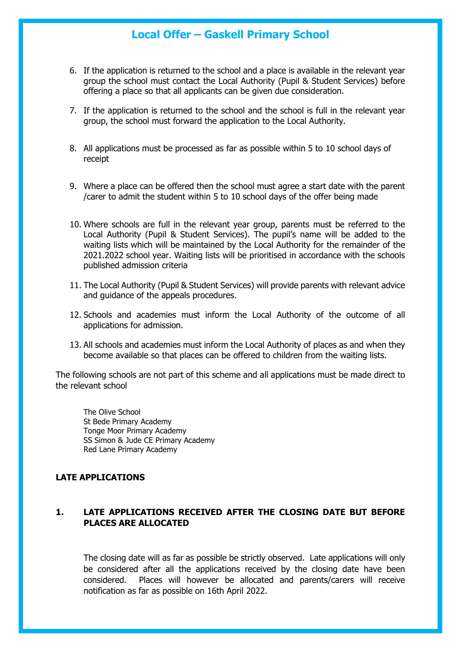- 6. If the application is returned to the school and a place is available in the relevant year group the school must contact the Local Authority (Pupil & Student Services) before offering a place so that all applicants can be given due consideration.
- 7. If the application is returned to the school and the school is full in the relevant year group, the school must forward the application to the Local Authority.
- 8. All applications must be processed as far as possible within 5 to 10 school days of receipt
- 9. Where a place can be offered then the school must agree a start date with the parent /carer to admit the student within 5 to 10 school days of the offer being made
- 10. Where schools are full in the relevant year group, parents must be referred to the Local Authority (Pupil & Student Services). The pupil's name will be added to the waiting lists which will be maintained by the Local Authority for the remainder of the 2021.2022 school year. Waiting lists will be prioritised in accordance with the schools published admission criteria
- 11. The Local Authority (Pupil & Student Services) will provide parents with relevant advice and guidance of the appeals procedures.
- 12. Schools and academies must inform the Local Authority of the outcome of all applications for admission.
- 13. All schools and academies must inform the Local Authority of places as and when they become available so that places can be offered to children from the waiting lists.

The following schools are not part of this scheme and all applications must be made direct to the relevant school

The Olive School St Bede Primary Academy Tonge Moor Primary Academy SS Simon & Jude CE Primary Academy Red Lane Primary Academy

#### **LATE APPLICATIONS**

### **1. LATE APPLICATIONS RECEIVED AFTER THE CLOSING DATE BUT BEFORE PLACES ARE ALLOCATED**

The closing date will as far as possible be strictly observed. Late applications will only be considered after all the applications received by the closing date have been considered. Places will however be allocated and parents/carers will receive notification as far as possible on 16th April 2022.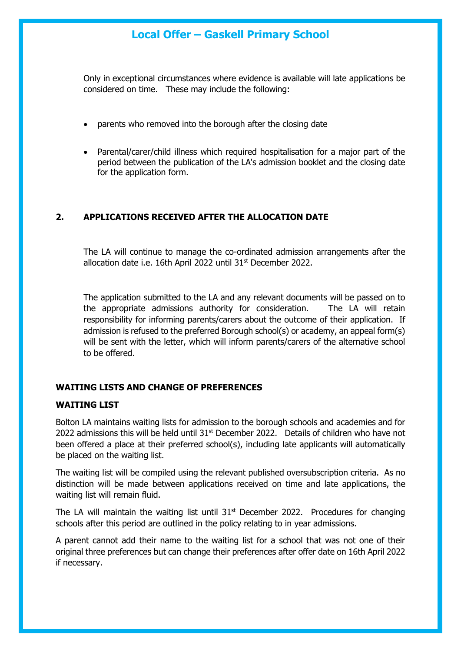Only in exceptional circumstances where evidence is available will late applications be considered on time. These may include the following:

- parents who removed into the borough after the closing date
- Parental/carer/child illness which required hospitalisation for a major part of the period between the publication of the LA's admission booklet and the closing date for the application form.

### **2. APPLICATIONS RECEIVED AFTER THE ALLOCATION DATE**

The LA will continue to manage the co-ordinated admission arrangements after the allocation date i.e. 16th April 2022 until 31<sup>st</sup> December 2022.

The application submitted to the LA and any relevant documents will be passed on to the appropriate admissions authority for consideration. The LA will retain responsibility for informing parents/carers about the outcome of their application. If admission is refused to the preferred Borough school(s) or academy, an appeal form(s) will be sent with the letter, which will inform parents/carers of the alternative school to be offered.

### **WAITING LISTS AND CHANGE OF PREFERENCES**

### **WAITING LIST**

Bolton LA maintains waiting lists for admission to the borough schools and academies and for 2022 admissions this will be held until  $31<sup>st</sup>$  December 2022. Details of children who have not been offered a place at their preferred school(s), including late applicants will automatically be placed on the waiting list.

The waiting list will be compiled using the relevant published oversubscription criteria. As no distinction will be made between applications received on time and late applications, the waiting list will remain fluid.

The LA will maintain the waiting list until  $31<sup>st</sup>$  December 2022. Procedures for changing schools after this period are outlined in the policy relating to in year admissions.

A parent cannot add their name to the waiting list for a school that was not one of their original three preferences but can change their preferences after offer date on 16th April 2022 if necessary.